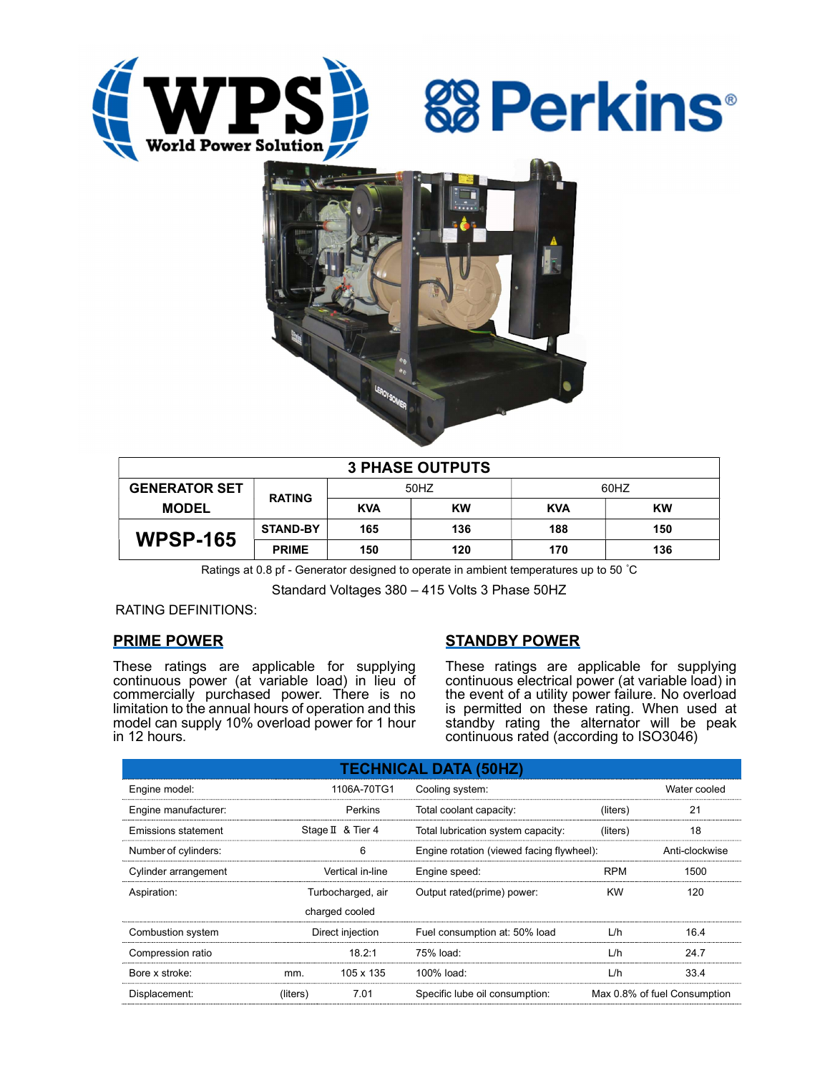





| <b>3 PHASE OUTPUTS</b> |                 |            |           |            |           |  |  |  |
|------------------------|-----------------|------------|-----------|------------|-----------|--|--|--|
| <b>GENERATOR SET</b>   | <b>RATING</b>   | 50HZ       |           | 60HZ       |           |  |  |  |
| <b>MODEL</b>           |                 | <b>KVA</b> | <b>KW</b> | <b>KVA</b> | <b>KW</b> |  |  |  |
| <b>WPSP-165</b>        | <b>STAND-BY</b> | 165        | 136       | 188        | 150       |  |  |  |
|                        | <b>PRIME</b>    | 150        | 120       | 170        | 136       |  |  |  |

Ratings at 0.8 pf - Generator designed to operate in ambient temperatures up to 50 °C

Standard Voltages 380 – 415 Volts 3 Phase 50HZ

RATING DEFINITIONS:

## PRIME POWER

These ratings are applicable for supplying continuous power (at variable load) in lieu of commercially purchased power. There is no limitation to the annual hours of operation and this model can supply 10% overload power for 1 hour in 12 hours.

# STANDBY POWER

These ratings are applicable for supplying continuous electrical power (at variable load) in the event of a utility power failure. No overload is permitted on these rating. When used at standby rating the alternator will be peak continuous rated (according to ISO3046)

| <b>TECHNICAL DATA (50HZ)</b> |                   |                   |                                           |                              |      |  |  |  |  |  |
|------------------------------|-------------------|-------------------|-------------------------------------------|------------------------------|------|--|--|--|--|--|
| Engine model:                |                   | 1106A-70TG1       | Cooling system:                           | Water cooled                 |      |  |  |  |  |  |
| Engine manufacturer:         |                   | Perkins           | Total coolant capacity:<br>(liters)       |                              | 21   |  |  |  |  |  |
| Emissions statement          |                   | Stage II & Tier 4 | Total lubrication system capacity:        | (liters)                     | 18   |  |  |  |  |  |
| Number of cylinders:         |                   | 6                 | Engine rotation (viewed facing flywheel): | Anti-clockwise               |      |  |  |  |  |  |
| Cylinder arrangement         | Vertical in-line  |                   | Engine speed:                             | <b>RPM</b>                   | 1500 |  |  |  |  |  |
| Aspiration:                  | Turbocharged, air |                   | Output rated(prime) power:                | <b>KW</b>                    | 120  |  |  |  |  |  |
| charged cooled               |                   |                   |                                           |                              |      |  |  |  |  |  |
| Combustion system            | Direct injection  |                   | Fuel consumption at: 50% load             | L/h                          | 16.4 |  |  |  |  |  |
| Compression ratio            |                   | 18.2:1            | 75% load:                                 | L/h                          | 24.7 |  |  |  |  |  |
| Bore x stroke:               | mm.               | 105 x 135         | 100% load:                                | L/h                          | 33.4 |  |  |  |  |  |
| Displacement:                | (liters)          | 7.01              | Specific lube oil consumption:            | Max 0.8% of fuel Consumption |      |  |  |  |  |  |